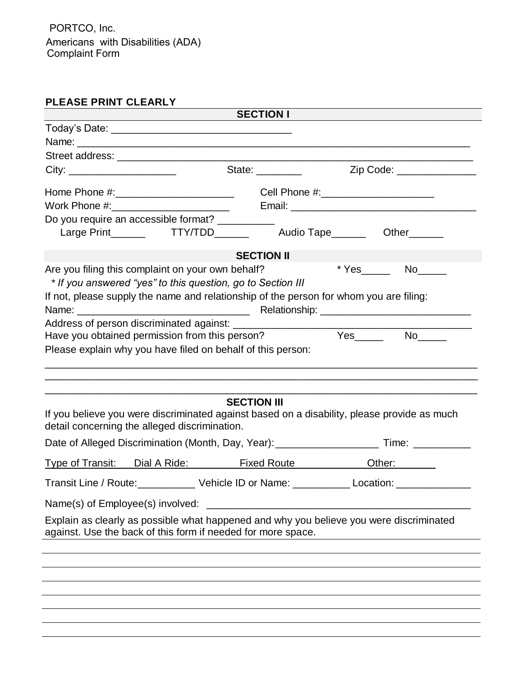Americans with Disabilities (ADA) Complaint Form PORTCO, Inc.

## **PLEASE PRINT CLEARLY**

| <b>SECTION I</b>                 |                                                   |                                                                 |                                                                                             |  |  |  |
|----------------------------------|---------------------------------------------------|-----------------------------------------------------------------|---------------------------------------------------------------------------------------------|--|--|--|
|                                  |                                                   |                                                                 |                                                                                             |  |  |  |
|                                  |                                                   |                                                                 |                                                                                             |  |  |  |
|                                  |                                                   |                                                                 |                                                                                             |  |  |  |
|                                  |                                                   | State: _________                                                | Zip Code: ______________                                                                    |  |  |  |
|                                  |                                                   |                                                                 |                                                                                             |  |  |  |
|                                  |                                                   |                                                                 |                                                                                             |  |  |  |
|                                  | Do you require an accessible format? __________   |                                                                 |                                                                                             |  |  |  |
|                                  |                                                   |                                                                 | Large Print________  TTY/TDD________  Audio Tape_______  Other_______                       |  |  |  |
|                                  |                                                   |                                                                 |                                                                                             |  |  |  |
|                                  |                                                   | <b>SECTION II</b>                                               |                                                                                             |  |  |  |
|                                  | Are you filing this complaint on your own behalf? |                                                                 |                                                                                             |  |  |  |
|                                  |                                                   | * If you answered "yes" to this question, go to Section III     |                                                                                             |  |  |  |
|                                  |                                                   |                                                                 | If not, please supply the name and relationship of the person for whom you are filing:      |  |  |  |
|                                  |                                                   |                                                                 |                                                                                             |  |  |  |
|                                  |                                                   |                                                                 | Have you obtained permission from this person? Ves_________ No_____                         |  |  |  |
|                                  |                                                   | Please explain why you have filed on behalf of this person:     |                                                                                             |  |  |  |
|                                  |                                                   | <b>SECTION III</b>                                              | If you believe you were discriminated against based on a disability, please provide as much |  |  |  |
|                                  | detail concerning the alleged discrimination.     |                                                                 |                                                                                             |  |  |  |
|                                  |                                                   |                                                                 |                                                                                             |  |  |  |
| <b>Type of Transit:</b>          | Dial A Ride: <u>New York Bill</u>                 |                                                                 | Other:                                                                                      |  |  |  |
|                                  |                                                   | Transit Line / Route: ___________ Vehicle ID or Name: _________ | Location:                                                                                   |  |  |  |
| Name(s) of Employee(s) involved: |                                                   |                                                                 |                                                                                             |  |  |  |
|                                  |                                                   | against. Use the back of this form if needed for more space.    | Explain as clearly as possible what happened and why you believe you were discriminated     |  |  |  |
|                                  |                                                   |                                                                 |                                                                                             |  |  |  |
|                                  |                                                   |                                                                 |                                                                                             |  |  |  |
|                                  |                                                   |                                                                 |                                                                                             |  |  |  |
|                                  |                                                   |                                                                 |                                                                                             |  |  |  |
|                                  |                                                   |                                                                 |                                                                                             |  |  |  |
|                                  |                                                   |                                                                 |                                                                                             |  |  |  |